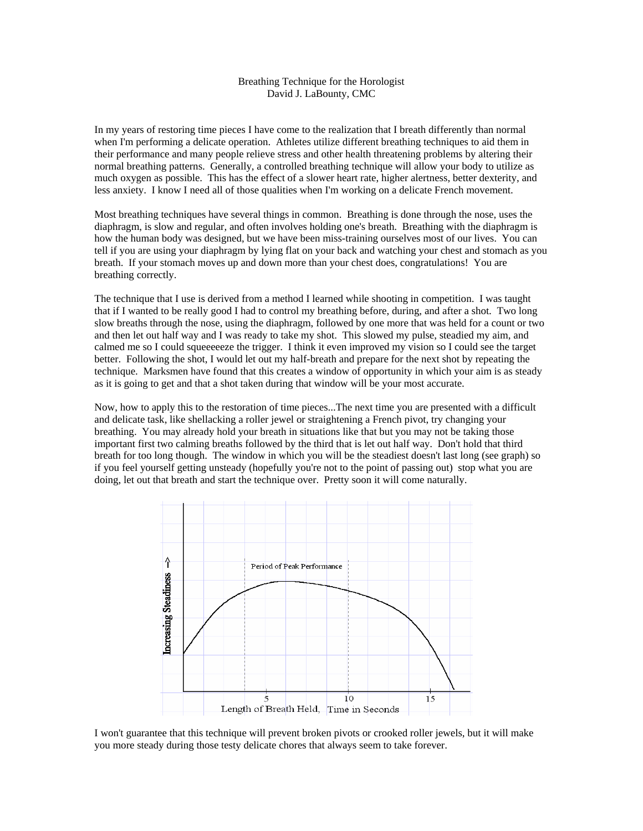## Breathing Technique for the Horologist David J. LaBounty, CMC

In my years of restoring time pieces I have come to the realization that I breath differently than normal when I'm performing a delicate operation. Athletes utilize different breathing techniques to aid them in their performance and many people relieve stress and other health threatening problems by altering their normal breathing patterns. Generally, a controlled breathing technique will allow your body to utilize as much oxygen as possible. This has the effect of a slower heart rate, higher alertness, better dexterity, and less anxiety. I know I need all of those qualities when I'm working on a delicate French movement.

Most breathing techniques have several things in common. Breathing is done through the nose, uses the diaphragm, is slow and regular, and often involves holding one's breath. Breathing with the diaphragm is how the human body was designed, but we have been miss-training ourselves most of our lives. You can tell if you are using your diaphragm by lying flat on your back and watching your chest and stomach as you breath. If your stomach moves up and down more than your chest does, congratulations! You are breathing correctly.

The technique that I use is derived from a method I learned while shooting in competition. I was taught that if I wanted to be really good I had to control my breathing before, during, and after a shot. Two long slow breaths through the nose, using the diaphragm, followed by one more that was held for a count or two and then let out half way and I was ready to take my shot. This slowed my pulse, steadied my aim, and calmed me so I could squeeeeeze the trigger. I think it even improved my vision so I could see the target better. Following the shot, I would let out my half-breath and prepare for the next shot by repeating the technique. Marksmen have found that this creates a window of opportunity in which your aim is as steady as it is going to get and that a shot taken during that window will be your most accurate.

Now, how to apply this to the restoration of time pieces...The next time you are presented with a difficult and delicate task, like shellacking a roller jewel or straightening a French pivot, try changing your breathing. You may already hold your breath in situations like that but you may not be taking those important first two calming breaths followed by the third that is let out half way. Don't hold that third breath for too long though. The window in which you will be the steadiest doesn't last long (see graph) so if you feel yourself getting unsteady (hopefully you're not to the point of passing out) stop what you are doing, let out that breath and start the technique over. Pretty soon it will come naturally.



I won't guarantee that this technique will prevent broken pivots or crooked roller jewels, but it will make you more steady during those testy delicate chores that always seem to take forever.